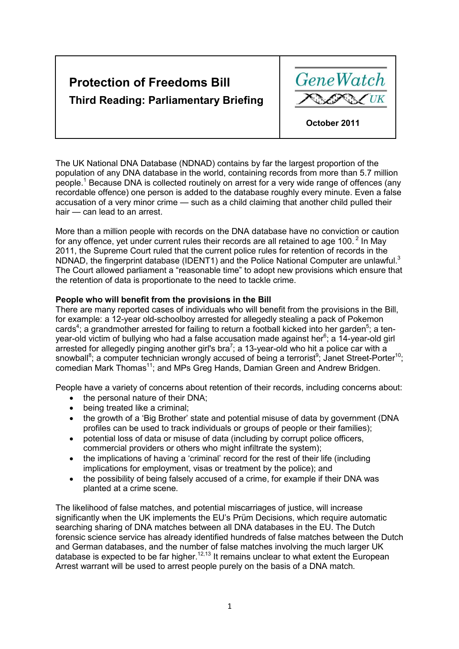# **Protection of Freedoms Bill Third Reading: Parliamentary Briefing**



The UK National DNA Database (NDNAD) contains by far the largest proportion of the population of any DNA database in the world, containing records from more than 5.7 million people.<sup>[1](#page-5-0)</sup> Because DNA is collected routinely on arrest for a very wide range of offences (any recordable offence) one person is added to the database roughly every minute. Even a false accusation of a very minor crime — such as a child claiming that another child pulled their hair — can lead to an arrest.

More than a million people with records on the DNA database have no conviction or caution for any offence, yet under current rules their records are all retained to age 100. $<sup>2</sup>$  In May</sup> 2011, the Supreme Court ruled that the current police rules for retention of records in the NDNAD, the fingerprint database (IDENT1) and the Police National Computer are unlawful.<sup>[3](#page-5-0)</sup> The Court allowed parliament a "reasonable time" to adopt new provisions which ensure that the retention of data is proportionate to the need to tackle crime.

## **People who will benefit from the provisions in the Bill**

There are many reported cases of individuals who will benefit from the provisions in the Bill, for example: a 12-year old-schoolboy arrested for allegedly stealing a pack of Pokemon cards<sup>[4](#page-5-0)</sup>; a grandmother arrested for failing to return a football kicked into her garden<sup>[5](#page-5-0)</sup>; a ten-year-old victim of bullying who had a false accusation made against her<sup>[6](#page-5-0)</sup>; a 14-year-old girl arrested for allegedly pinging another girl's bra<sup>[7](#page-5-0)</sup>; a 13-year-old who hit a police car with a snowball<sup>[8](#page-5-0)</sup>; a computer technician wrongly accused of being a terrorist<sup>[9](#page-5-0)</sup>; Janet Street-Porter<sup>[10](#page-5-0)</sup>; comedian Mark Thomas<sup>[11](#page-5-0)</sup>; and MPs Greg Hands, Damian Green and Andrew Bridgen.

People have a variety of concerns about retention of their records, including concerns about:

- the personal nature of their DNA:
- being treated like a criminal;
- the growth of a 'Big Brother' state and potential misuse of data by government (DNA profiles can be used to track individuals or groups of people or their families);
- potential loss of data or misuse of data (including by corrupt police officers, commercial providers or others who might infiltrate the system);
- the implications of having a 'criminal' record for the rest of their life (including implications for employment, visas or treatment by the police); and
- the possibility of being falsely accused of a crime, for example if their DNA was planted at a crime scene.

The likelihood of false matches, and potential miscarriages of justice, will increase significantly when the UK implements the EU's Prüm Decisions, which require automatic searching sharing of DNA matches between all DNA databases in the EU. The Dutch forensic science service has already identified hundreds of false matches between the Dutch and German databases, and the number of false matches involving the much larger UK database is expected to be far higher.<sup>[12,13](#page-5-0)</sup> It remains unclear to what extent the European Arrest warrant will be used to arrest people purely on the basis of a DNA match.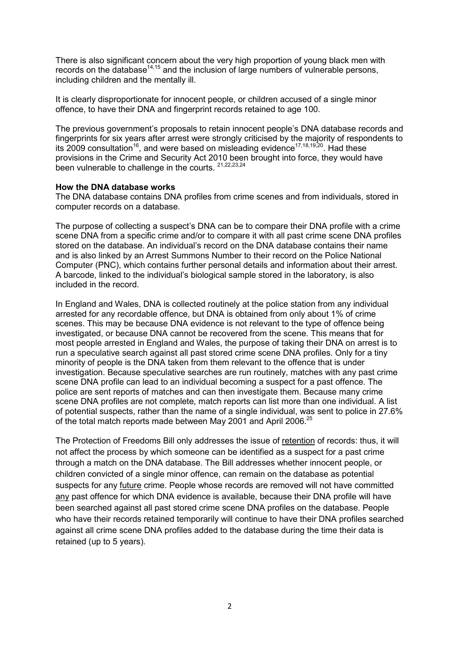There is also significant concern about the very high proportion of young black men with records on the database $14,15$  and the inclusion of large numbers of vulnerable persons, including children and the mentally ill.

It is clearly disproportionate for innocent people, or children accused of a single minor offence, to have their DNA and fingerprint records retained to age 100.

The previous government's proposals to retain innocent people's DNA database records and fingerprints for six years after arrest were strongly criticised by the majority of respondents to its 2009 consultation<sup>[16](#page-5-0)</sup>, and were based on misleading evidence<sup>[17,18,19,20](#page-5-0)</sup>. Had these provisions in the Crime and Security Act 2010 been brought into force, they would have been vulnerable to challenge in the courts. <sup>[21,22](#page-5-0),[23,24](#page-5-0)</sup>

#### **How the DNA database works**

The DNA database contains DNA profiles from crime scenes and from individuals, stored in computer records on a database.

The purpose of collecting a suspect's DNA can be to compare their DNA profile with a crime scene DNA from a specific crime and/or to compare it with all past crime scene DNA profiles stored on the database. An individual's record on the DNA database contains their name and is also linked by an Arrest Summons Number to their record on the Police National Computer (PNC), which contains further personal details and information about their arrest. A barcode, linked to the individual's biological sample stored in the laboratory, is also included in the record.

In England and Wales, DNA is collected routinely at the police station from any individual arrested for any recordable offence, but DNA is obtained from only about 1% of crime scenes. This may be because DNA evidence is not relevant to the type of offence being investigated, or because DNA cannot be recovered from the scene. This means that for most people arrested in England and Wales, the purpose of taking their DNA on arrest is to run a speculative search against all past stored crime scene DNA profiles. Only for a tiny minority of people is the DNA taken from them relevant to the offence that is under investigation. Because speculative searches are run routinely, matches with any past crime scene DNA profile can lead to an individual becoming a suspect for a past offence. The police are sent reports of matches and can then investigate them. Because many crime scene DNA profiles are not complete, match reports can list more than one individual. A list of potential suspects, rather than the name of a single individual, was sent to police in 27.6% of the total match reports made between May 2001 and April 2006.<sup>[25](#page-5-0)</sup>

The Protection of Freedoms Bill only addresses the issue of retention of records: thus, it will not affect the process by which someone can be identified as a suspect for a past crime through a match on the DNA database. The Bill addresses whether innocent people, or children convicted of a single minor offence, can remain on the database as potential suspects for any future crime. People whose records are removed will not have committed any past offence for which DNA evidence is available, because their DNA profile will have been searched against all past stored crime scene DNA profiles on the database. People who have their records retained temporarily will continue to have their DNA profiles searched against all crime scene DNA profiles added to the database during the time their data is retained (up to 5 years).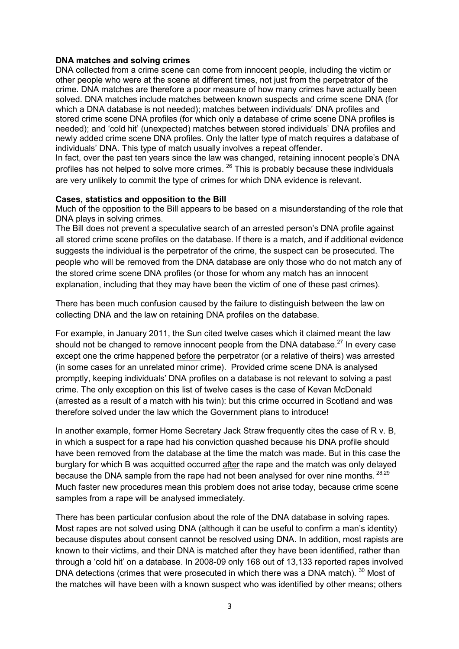## <span id="page-2-0"></span>**DNA matches and solving crimes**

DNA collected from a crime scene can come from innocent people, including the victim or other people who were at the scene at different times, not just from the perpetrator of the crime. DNA matches are therefore a poor measure of how many crimes have actually been solved. DNA matches include matches between known suspects and crime scene DNA (for which a DNA database is not needed); matches between individuals' DNA profiles and stored crime scene DNA profiles (for which only a database of crime scene DNA profiles is needed); and 'cold hit' (unexpected) matches between stored individuals' DNA profiles and newly added crime scene DNA profiles. Only the latter type of match requires a database of individuals' DNA. This type of match usually involves a repeat offender.

In fact, over the past ten years since the law was changed, retaining innocent people's DNA profiles has not helped to solve more crimes. <sup>26</sup> This is probably because these individuals are very unlikely to commit the type of crimes for which DNA evidence is relevant.

## **Cases, statistics and opposition to the Bill**

Much of the opposition to the Bill appears to be based on a misunderstanding of the role that DNA plays in solving crimes.

The Bill does not prevent a speculative search of an arrested person's DNA profile against all stored crime scene profiles on the database. If there is a match, and if additional evidence suggests the individual is the perpetrator of the crime, the suspect can be prosecuted. The people who will be removed from the DNA database are only those who do not match any of the stored crime scene DNA profiles (or those for whom any match has an innocent explanation, including that they may have been the victim of one of these past crimes).

There has been much confusion caused by the failure to distinguish between the law on collecting DNA and the law on retaining DNA profiles on the database.

For example, in January 2011, the Sun cited twelve cases which it claimed meant the law should not be changed to remove innocent people from the DNA database. $^{27}$  In every case except one the crime happened before the perpetrator (or a relative of theirs) was arrested (in some cases for an unrelated minor crime). Provided crime scene DNA is analysed promptly, keeping individuals' DNA profiles on a database is not relevant to solving a past crime. The only exception on this list of twelve cases is the case of Kevan McDonald (arrested as a result of a match with his twin): but this crime occurred in Scotland and was therefore solved under the law which the Government plans to introduce!

In another example, former Home Secretary Jack Straw frequently cites the case of R v. B, in which a suspect for a rape had his conviction quashed because his DNA profile should have been removed from the database at the time the match was made. But in this case the burglary for which B was acquitted occurred after the rape and the match was only delayed because the DNA sample from the rape had not been analysed for over nine months.  $^{28,29}$ Much faster new procedures mean this problem does not arise today, because crime scene samples from a rape will be analysed immediately.

There has been particular confusion about the role of the DNA database in solving rapes. Most rapes are not solved using DNA (although it can be useful to confirm a man's identity) because disputes about consent cannot be resolved using DNA. In addition, most rapists are known to their victims, and their DNA is matched after they have been identified, rather than through a 'cold hit' on a database. In 2008-09 only 168 out of 13,133 reported rapes involved DNA detections (crimes that were prosecuted in which there was a DNA match). <sup>30</sup> Most of the matches will have been with a known suspect who was identified by other means; others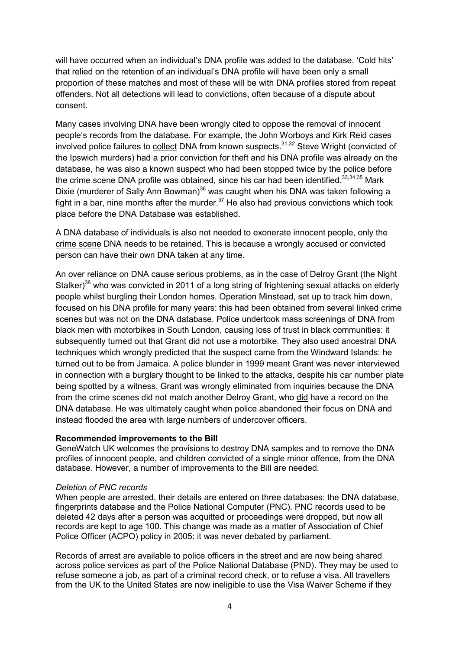will have occurred when an individual's DNA profile was added to the database. 'Cold hits' that relied on the retention of an individual's DNA profile will have been only a small proportion of these matches and most of these will be with DNA profiles stored from repeat offenders. Not all detections will lead to convictions, often because of a dispute about consent.

Many cases involving DNA have been wrongly cited to oppose the removal of innocent people's records from the database. For example, the John Worboys and Kirk Reid cases involved police failures to collect DNA from known suspects. $31,32$  Steve Wright (convicted of the Ipswich murders) had a prior conviction for theft and his DNA profile was already on the database, he was also a known suspect who had been stopped twice by the police before the crime scene DNA profile was obtained, since his car had been identified. $33,34,35$  Mark Dixie (murderer of Sally Ann Bowman) $36$  was caught when his DNA was taken following a fight in a bar, nine months after the murder. $37$  He also had previous convictions which took place before the DNA Database was established.

A DNA database of individuals is also not needed to exonerate innocent people, only the crime scene DNA needs to be retained. This is because a wrongly accused or convicted person can have their own DNA taken at any time.

An over reliance on DNA cause serious problems, as in the case of Delroy Grant (the Night Stalker)<sup>[38](#page-2-0)</sup> who was convicted in 2011 of a long string of frightening sexual attacks on elderly people whilst burgling their London homes. Operation Minstead, set up to track him down, focused on his DNA profile for many years: this had been obtained from several linked crime scenes but was not on the DNA database. Police undertook mass screenings of DNA from black men with motorbikes in South London, causing loss of trust in black communities: it subsequently turned out that Grant did not use a motorbike. They also used ancestral DNA techniques which wrongly predicted that the suspect came from the Windward Islands: he turned out to be from Jamaica. A police blunder in 1999 meant Grant was never interviewed in connection with a burglary thought to be linked to the attacks, despite his car number plate being spotted by a witness. Grant was wrongly eliminated from inquiries because the DNA from the crime scenes did not match another Delroy Grant, who did have a record on the DNA database. He was ultimately caught when police abandoned their focus on DNA and instead flooded the area with large numbers of undercover officers.

## **Recommended improvements to the Bill**

GeneWatch UK welcomes the provisions to destroy DNA samples and to remove the DNA profiles of innocent people, and children convicted of a single minor offence, from the DNA database. However, a number of improvements to the Bill are needed.

## *Deletion of PNC records*

When people are arrested, their details are entered on three databases: the DNA database, fingerprints database and the Police National Computer (PNC). PNC records used to be deleted 42 days after a person was acquitted or proceedings were dropped, but now all records are kept to age 100. This change was made as a matter of Association of Chief Police Officer (ACPO) policy in 2005: it was never debated by parliament.

Records of arrest are available to police officers in the street and are now being shared across police services as part of the Police National Database (PND). They may be used to refuse someone a job, as part of a criminal record check, or to refuse a visa. All travellers from the UK to the United States are now ineligible to use the Visa Waiver Scheme if they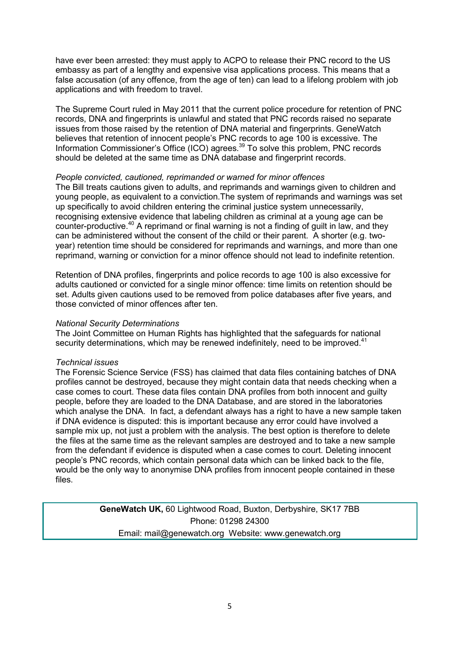have ever been arrested: they must apply to ACPO to release their PNC record to the US embassy as part of a lengthy and expensive visa applications process. This means that a false accusation (of any offence, from the age of ten) can lead to a lifelong problem with job applications and with freedom to travel.

The Supreme Court ruled in May 2011 that the current police procedure for retention of PNC records, DNA and fingerprints is unlawful and stated that PNC records raised no separate issues from those raised by the retention of DNA material and fingerprints. GeneWatch believes that retention of innocent people's PNC records to age 100 is excessive. The Information Commissioner's Office (ICO) agrees.<sup>[39](#page-2-0)</sup> To solve this problem, PNC records should be deleted at the same time as DNA database and fingerprint records.

## *People convicted, cautioned, reprimanded or warned for minor offences*

The Bill treats cautions given to adults, and reprimands and warnings given to children and young people, as equivalent to a conviction.The system of reprimands and warnings was set up specifically to avoid children entering the criminal justice system unnecessarily, recognising extensive evidence that labeling children as criminal at a young age can be counter-productive.<sup>[40](#page-2-0)</sup> A reprimand or final warning is not a finding of guilt in law, and they can be administered without the consent of the child or their parent. A shorter (e.g. twoyear) retention time should be considered for reprimands and warnings, and more than one reprimand, warning or conviction for a minor offence should not lead to indefinite retention.

Retention of DNA profiles, fingerprints and police records to age 100 is also excessive for adults cautioned or convicted for a single minor offence: time limits on retention should be set. Adults given cautions used to be removed from police databases after five years, and those convicted of minor offences after ten.

### *National Security Determinations*

The Joint Committee on Human Rights has highlighted that the safeguards for national security determinations, which may be renewed indefinitely, need to be improved.<sup>[41](#page-2-0)</sup>

#### *Technical issues*

The Forensic Science Service (FSS) has claimed that data files containing batches of DNA profiles cannot be destroyed, because they might contain data that needs checking when a case comes to court. These data files contain DNA profiles from both innocent and guilty people, before they are loaded to the DNA Database, and are stored in the laboratories which analyse the DNA. In fact, a defendant always has a right to have a new sample taken if DNA evidence is disputed: this is important because any error could have involved a sample mix up, not just a problem with the analysis. The best option is therefore to delete the files at the same time as the relevant samples are destroyed and to take a new sample from the defendant if evidence is disputed when a case comes to court. Deleting innocent people's PNC records, which contain personal data which can be linked back to the file, would be the only way to anonymise DNA profiles from innocent people contained in these files.

> **GeneWatch UK,** 60 Lightwood Road, Buxton, Derbyshire, SK17 7BB Phone: 01298 24300 Email: mail@genewatch.org Website: www.genewatch.org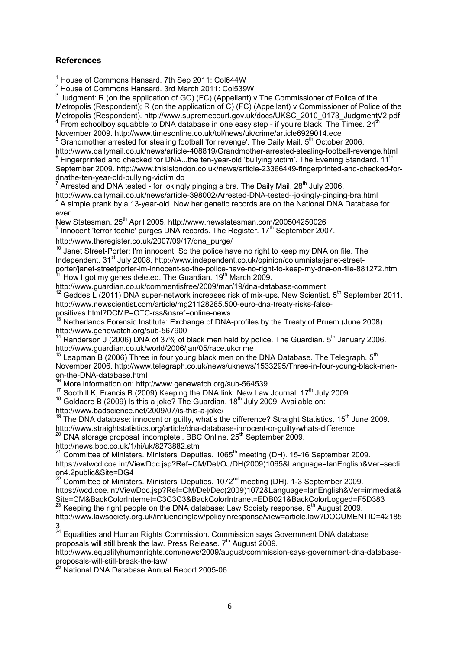#### <span id="page-5-0"></span>**References**  l

 $1$  House of Commons Hansard. 7th Sep 2011: Col644W

 $2$  House of Commons Hansard. 3rd March 2011: Col539W

<sup>3</sup> Judgment: R (on the application of GC) (FC) (Appellant) v The Commissioner of Police of the Metropolis (Respondent); R (on the application of C) (FC) (Appellant) v Commissioner of Police of the Metropolis (Respondent). http://www.supremecourt.gov.uk/docs/UKSC\_2010\_0173\_JudgmentV2.pdf  $4$  From schoolboy squabble to DNA database in one easy step - if you're black. The Times. 24<sup>th</sup> November 2009. http://www.timesonline.co.uk/tol/news/uk/crime/article6929014.ece

<sup>5</sup> Grandmother arrested for stealing football 'for revenge'. The Daily Mail.  $5<sup>th</sup>$  October 2006.

http://www.dailymail.co.uk/news/article-408819/Grandmother-arrested-stealing-football-revenge.html<br><sup>6</sup> Fingerprinted and checked for DNA...the ten-year-old 'bullying victim'. The Evening Standard. 11<sup>th</sup> September 2009. http://www.thisislondon.co.uk/news/article-23366449-fingerprinted-and-checked-fordnathe-ten-year-old-bullying-victim.do 7

Arrested and DNA tested - for jokingly pinging a bra. The Daily Mail. 28<sup>th</sup> July 2006.

http://www.dailymail.co.uk/news/article-398002/Arrested-DNA-tested--jokingly-pinging-bra.html  $8$  A simple prank by a 13-year-old. Now her genetic records are on the National DNA Database for ever

New Statesman. 25<sup>th</sup> April 2005. http://www.newstatesman.com/200504250026<br><sup>9</sup> Innocent 'terror techie' purges DNA records. The Register. 17<sup>th</sup> September 2007.

http://www.theregister.co.uk/2007/09/17/dna\_purge/

 $10$  Janet Street-Porter: I'm innocent. So the police have no right to keep my DNA on file. The Independent. 31<sup>st</sup> July 2008. http://www.independent.co.uk/opinion/columnists/janet-streetporter/janet-streetporter-im-innocent-so-the-police-have-no-right-to-keep-my-dna-on-file-881272.html

How I got my genes deleted. The Guardian. 19<sup>th</sup> March 2009. http://www.guardian.co.uk/commentisfree/2009/mar/19/dna-database-comment

 $12$  Geddes L (2011) DNA super-network increases risk of mix-ups. New Scientist.  $5<sup>th</sup>$  September 2011. http://www.newscientist.com/article/mg21128285.500-euro-dna-treaty-risks-false-

positives.html?DCMP=OTC-rss&nsref=online-news

Netherlands Forensic Institute: Exchange of DNA-profiles by the Treaty of Pruem (June 2008). http://www.genewatch.org/sub-567900

 $14$  Randerson J (2006) DNA of 37% of black men held by police. The Guardian.  $5<sup>th</sup>$  January 2006. http://www.guardian.co.uk/world/2006/jan/05/race.ukcrime

 $15$  Leapman B (2006) Three in four young black men on the DNA Database. The Telegraph.  $5<sup>th</sup>$ November 2006. http://www.telegraph.co.uk/news/uknews/1533295/Three-in-four-young-black-menon-the-DNA-database.html

<sup>16</sup> More information on: http://www.genewatch.org/sub-564539

 $17$  Soothill K, Francis B (2009) Keeping the DNA link. New Law Journal, 17<sup>th</sup> July 2009.

 $18$  Goldacre B (2009) Is this a joke? The Guardian,  $18<sup>th</sup>$  July 2009. Available on: http://www.badscience.net/2009/07/is-this-a-joke/

 $19$  The DNA database: innocent or guilty, what's the difference? Straight Statistics. 15<sup>th</sup> June 2009.

http://www.straightstatistics.org/article/dna-database-innocent-or-guilty-whats-difference <sup>20</sup> DNA storage proposal 'incomplete'. BBC Online. 25<sup>th</sup> September 2009.

http://news.bbc.co.uk/1/hi/uk/8273882.stm

21 Committee of Ministers. Ministers' Deputies. 1065<sup>th</sup> meeting (DH). 15-16 September 2009. https://valwcd.coe.int/ViewDoc.jsp?Ref=CM/Del/OJ/DH(2009)1065&Language=lanEnglish&Ver=secti on4.2public&Site=DG4

 $22$  Committee of Ministers. Ministers' Deputies. 1072<sup>nd</sup> meeting (DH). 1-3 September 2009. https://wcd.coe.int/ViewDoc.jsp?Ref=CM/Del/Dec(2009)1072&Language=lanEnglish&Ver=immediat& Site=CM&BackColorInternet=C3C3C3&BackColorIntranet=EDB021&BackColorLogged=F5D383

 $^{23}$  Keeping the right people on the DNA database: Law Society response. 6<sup>th</sup> August 2009.

http://www.lawsociety.org.uk/influencinglaw/policyinresponse/view=article.law?DOCUMENTID=42185  $\frac{3}{24}$ 

<sup>24</sup> Equalities and Human Rights Commission. Commission says Government DNA database proposals will still break the law. Press Release. 7<sup>th</sup> August 2009.

http://www.equalityhumanrights.com/news/2009/august/commission-says-government-dna-databaseproposals-will-still-break-the-law/

<sup>5</sup> National DNA Database Annual Report 2005-06.